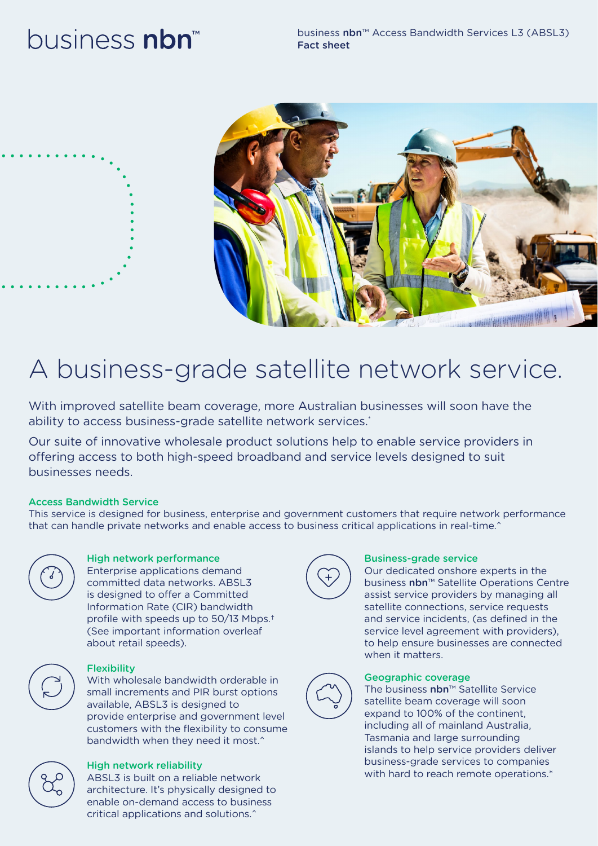# business **nbn**





# A business-grade satellite network service.

With improved satellite beam coverage, more Australian businesses will soon have the ability to access business-grade satellite network services.\*

Our suite of innovative wholesale product solutions help to enable service providers in offering access to both high-speed broadband and service levels designed to suit businesses needs.

# Access Bandwidth Service

This service is designed for business, enterprise and government customers that require network performance that can handle private networks and enable access to business critical applications in real-time.^



# High network performance

Enterprise applications demand committed data networks. ABSL3 is designed to offer a Committed Information Rate (CIR) bandwidth profile with speeds up to 50/13 Mbps.† (See important information overleaf about retail speeds).



# **Flexibility**

With wholesale bandwidth orderable in small increments and PIR burst options available, ABSL3 is designed to provide enterprise and government level customers with the flexibility to consume bandwidth when they need it most.^



ABSL3 is built on a reliable network architecture. It's physically designed to enable on-demand access to business critical applications and solutions.^



# Business-grade service

Our dedicated onshore experts in the business nbn™ Satellite Operations Centre assist service providers by managing all satellite connections, service requests and service incidents, (as defined in the service level agreement with providers), to help ensure businesses are connected when it matters.



# Geographic coverage

The business nbn™ Satellite Service satellite beam coverage will soon expand to 100% of the continent, including all of mainland Australia, Tasmania and large surrounding islands to help service providers deliver business-grade services to companies with hard to reach remote operations.\*